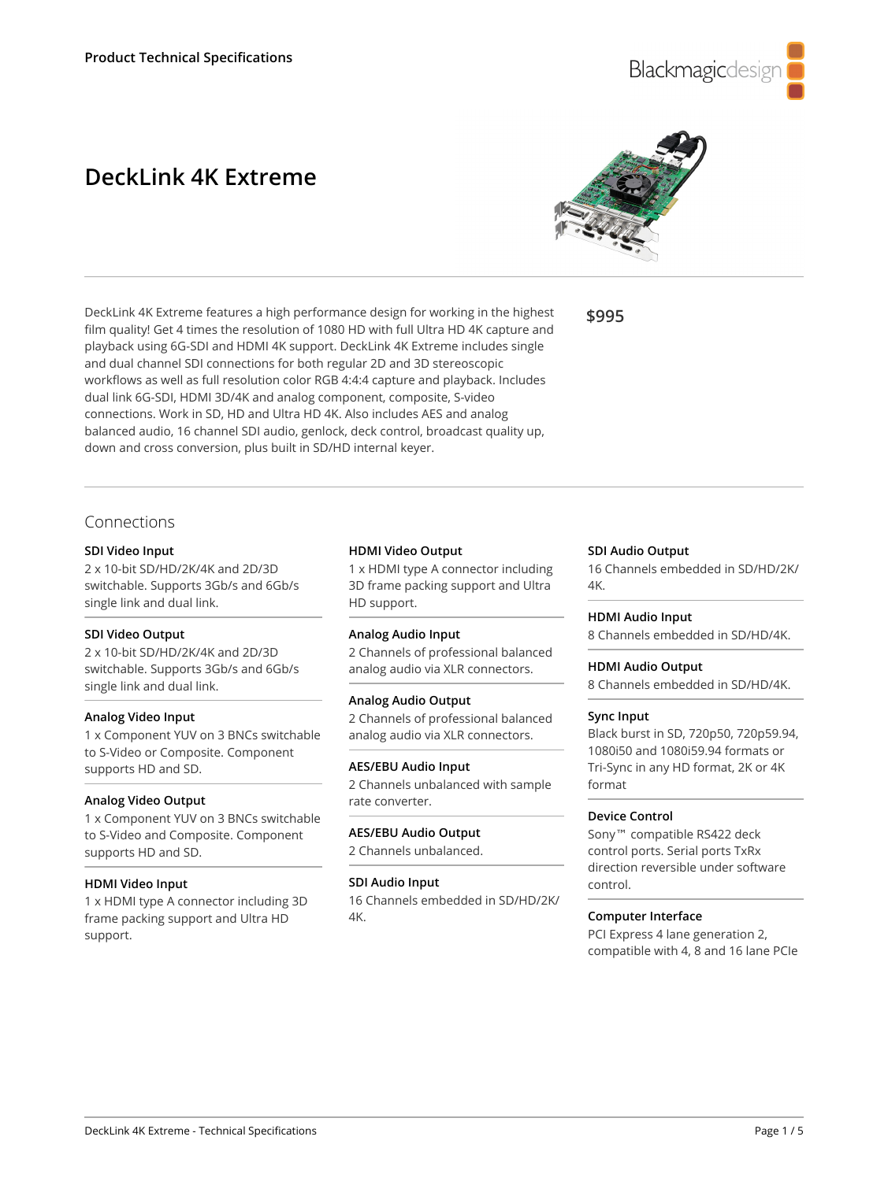

# **DeckLink 4K Extreme**



DeckLink 4K Extreme features a high performance design for working in the highest film quality! Get 4 times the resolution of 1080 HD with full Ultra HD 4K capture and playback using 6G-SDI and HDMI 4K support. DeckLink 4K Extreme includes single and dual channel SDI connections for both regular 2D and 3D stereoscopic workflows as well as full resolution color RGB 4:4:4 capture and playback. Includes dual link 6G-SDI, HDMI 3D/4K and analog component, composite, S-video connections. Work in SD, HD and Ultra HD 4K. Also includes AES and analog balanced audio, 16 channel SDI audio, genlock, deck control, broadcast quality up, down and cross conversion, plus built in SD/HD internal keyer.

**\$995**

# Connections

# **SDI Video Input**

2 x 10-bit SD/HD/2K/4K and 2D/3D switchable. Supports 3Gb/s and 6Gb/s single link and dual link.

# **SDI Video Output**

2 x 10-bit SD/HD/2K/4K and 2D/3D switchable. Supports 3Gb/s and 6Gb/s single link and dual link.

# **Analog Video Input**

1 x Component YUV on 3 BNCs switchable to S-Video or Composite. Component supports HD and SD.

# **Analog Video Output**

1 x Component YUV on 3 BNCs switchable to S-Video and Composite. Component supports HD and SD.

# **HDMI Video Input**

1 x HDMI type A connector including 3D frame packing support and Ultra HD support.

#### **HDMI Video Output**

1 x HDMI type A connector including 3D frame packing support and Ultra HD support.

# **Analog Audio Input**

2 Channels of professional balanced analog audio via XLR connectors.

# **Analog Audio Output**

2 Channels of professional balanced analog audio via XLR connectors.

# **AES/EBU Audio Input**

2 Channels unbalanced with sample rate converter.

#### **AES/EBU Audio Output** 2 Channels unbalanced.

# **SDI Audio Input**

16 Channels embedded in SD/HD/2K/ 4K.

# **SDI Audio Output**

16 Channels embedded in SD/HD/2K/ 4K.

# **HDMI Audio Input**

8 Channels embedded in SD/HD/4K.

# **HDMI Audio Output**

8 Channels embedded in SD/HD/4K.

# **Sync Input**

Black burst in SD, 720p50, 720p59.94, 1080i50 and 1080i59.94 formats or Tri-Sync in any HD format, 2K or 4K format

# **Device Control**

Sony™ compatible RS422 deck control ports. Serial ports TxRx direction reversible under software control.

# **Computer Interface**

PCI Express 4 lane generation 2, compatible with 4, 8 and 16 lane PCIe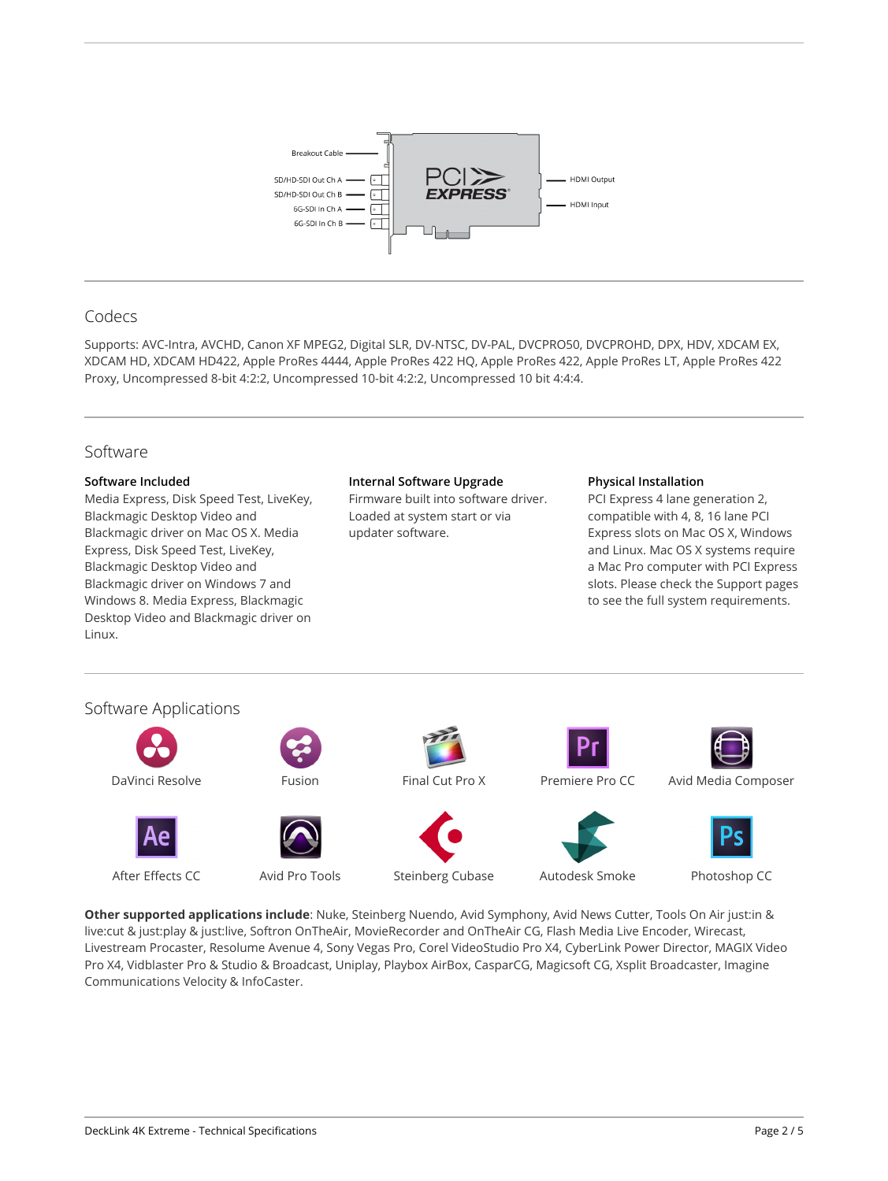

# Codecs

Supports: AVC-Intra, AVCHD, Canon XF MPEG2, Digital SLR, DV-NTSC, DV-PAL, DVCPRO50, DVCPROHD, DPX, HDV, XDCAM EX, XDCAM HD, XDCAM HD422, Apple ProRes 4444, Apple ProRes 422 HQ, Apple ProRes 422, Apple ProRes LT, Apple ProRes 422 Proxy, Uncompressed 8-bit 4:2:2, Uncompressed 10-bit 4:2:2, Uncompressed 10 bit 4:4:4.

# Software **Software Included** Media Express, Disk Speed Test, LiveKey, Blackmagic Desktop Video and Blackmagic driver on Mac OS X. Media Express, Disk Speed Test, LiveKey, Blackmagic Desktop Video and Blackmagic driver on Windows 7 and Windows 8. Media Express, Blackmagic Desktop Video and Blackmagic driver on Linux. **Internal Software Upgrade** Firmware built into software driver. Loaded at system start or via updater software. **Physical Installation** PCI Express 4 lane generation 2, compatible with 4, 8, 16 lane PCI Express slots on Mac OS X, Windows and Linux. Mac OS X systems require a Mac Pro computer with PCI Express slots. Please check the Support pages to see the full system requirements. Software Applications DaVinci Resolve Fusion Fusion Final Cut Pro X Premiere Pro CC Avid Media Composer

After Effects CC Avid Pro Tools Steinberg Cubase Autodesk Smoke Photoshop CC

**Other supported applications include**: Nuke, Steinberg Nuendo, Avid Symphony, Avid News Cutter, Tools On Air just:in & live:cut & just:play & just:live, Softron OnTheAir, MovieRecorder and OnTheAir CG, Flash Media Live Encoder, Wirecast, Livestream Procaster, Resolume Avenue 4, Sony Vegas Pro, Corel VideoStudio Pro X4, CyberLink Power Director, MAGIX Video Pro X4, Vidblaster Pro & Studio & Broadcast, Uniplay, Playbox AirBox, CasparCG, Magicsoft CG, Xsplit Broadcaster, Imagine Communications Velocity & InfoCaster.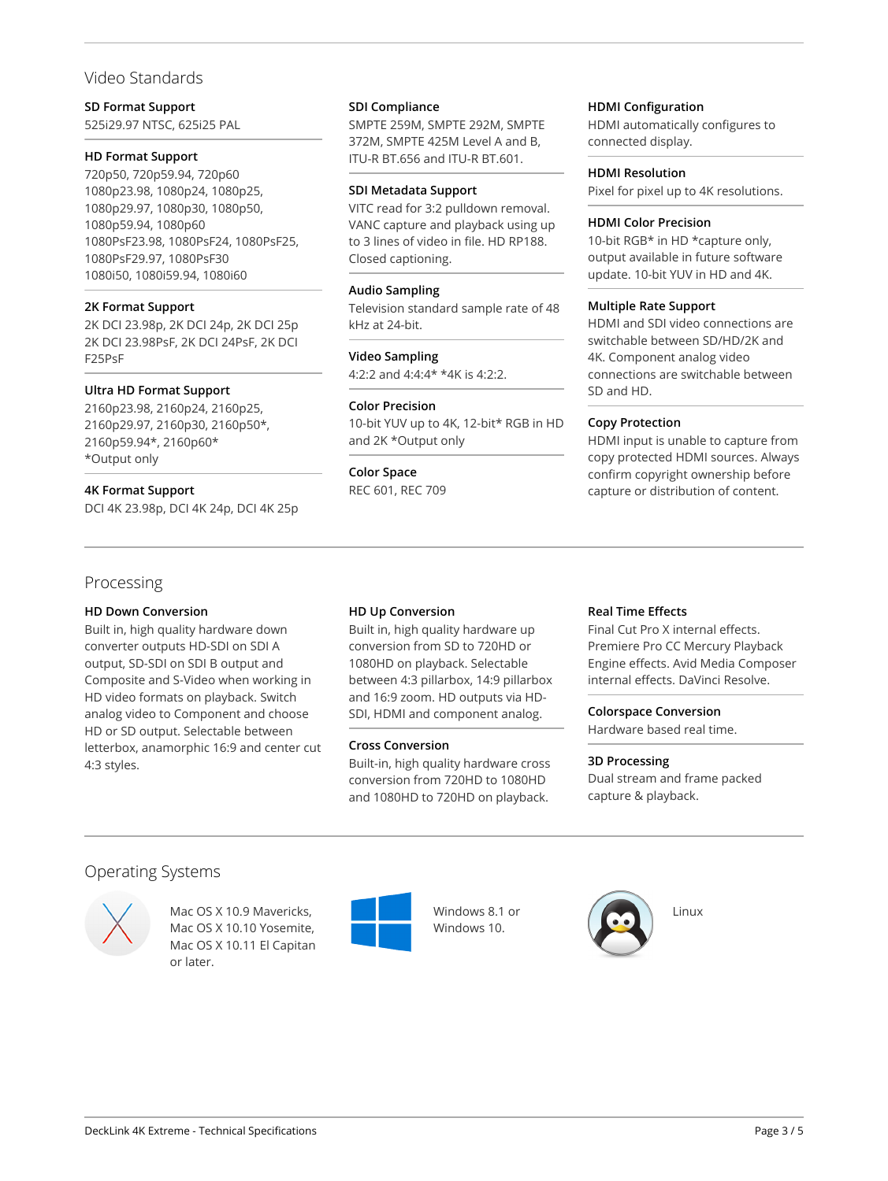# Video Standards

# **SD Format Support**

525i29.97 NTSC, 625i25 PAL

# **HD Format Support**

720p50, 720p59.94, 720p60 1080p23.98, 1080p24, 1080p25, 1080p29.97, 1080p30, 1080p50, 1080p59.94, 1080p60 1080PsF23.98, 1080PsF24, 1080PsF25, 1080PsF29.97, 1080PsF30 1080i50, 1080i59.94, 1080i60

# **2K Format Support**

2K DCI 23.98p, 2K DCI 24p, 2K DCI 25p 2K DCI 23.98PsF, 2K DCI 24PsF, 2K DCI F25PsF

# **Ultra HD Format Support**

2160p23.98, 2160p24, 2160p25, 2160p29.97, 2160p30, 2160p50\*, 2160p59.94\*, 2160p60\* \*Output only

# **4K Format Support**

DCI 4K 23.98p, DCI 4K 24p, DCI 4K 25p

# Processing

# **HD Down Conversion**

Built in, high quality hardware down converter outputs HD-SDI on SDI A output, SD-SDI on SDI B output and Composite and S-Video when working in HD video formats on playback. Switch analog video to Component and choose HD or SD output. Selectable between letterbox, anamorphic 16:9 and center cut 4:3 styles.

# **SDI Compliance**

SMPTE 259M, SMPTE 292M, SMPTE 372M, SMPTE 425M Level A and B, ITU-R BT.656 and ITU-R BT.601.

#### **SDI Metadata Support**

VITC read for 3:2 pulldown removal. VANC capture and playback using up to 3 lines of video in file. HD RP188. Closed captioning.

# **Audio Sampling**

Television standard sample rate of 48 kHz at 24-bit.

# **Video Sampling**

4:2:2 and 4:4:4\* \*4K is 4:2:2.

# **Color Precision**

10-bit YUV up to 4K, 12-bit\* RGB in HD and 2K \*Output only

**Color Space** REC 601, REC 709

# **HDMI Configuration**

HDMI automatically configures to connected display.

# **HDMI Resolution**

Pixel for pixel up to 4K resolutions.

#### **HDMI Color Precision**

10-bit RGB\* in HD \*capture only, output available in future software update. 10-bit YUV in HD and 4K.

# **Multiple Rate Support**

HDMI and SDI video connections are switchable between SD/HD/2K and 4K. Component analog video connections are switchable between SD and HD.

# **Copy Protection**

HDMI input is unable to capture from copy protected HDMI sources. Always confirm copyright ownership before capture or distribution of content.

# **HD Up Conversion**

Built in, high quality hardware up conversion from SD to 720HD or 1080HD on playback. Selectable between 4:3 pillarbox, 14:9 pillarbox and 16:9 zoom. HD outputs via HD-SDI, HDMI and component analog.

# **Cross Conversion**

Built-in, high quality hardware cross conversion from 720HD to 1080HD and 1080HD to 720HD on playback.

# **Real Time Effects**

Final Cut Pro X internal effects. Premiere Pro CC Mercury Playback Engine effects. Avid Media Composer internal effects. DaVinci Resolve.

# **Colorspace Conversion**

Hardware based real time.

# **3D Processing**

Dual stream and frame packed capture & playback.

# Operating Systems



Mac OS X 10.9 Mavericks, Mac OS X 10.10 Yosemite, Mac OS X 10.11 El Capitan or later.



Windows 8.1 or Windows 10.

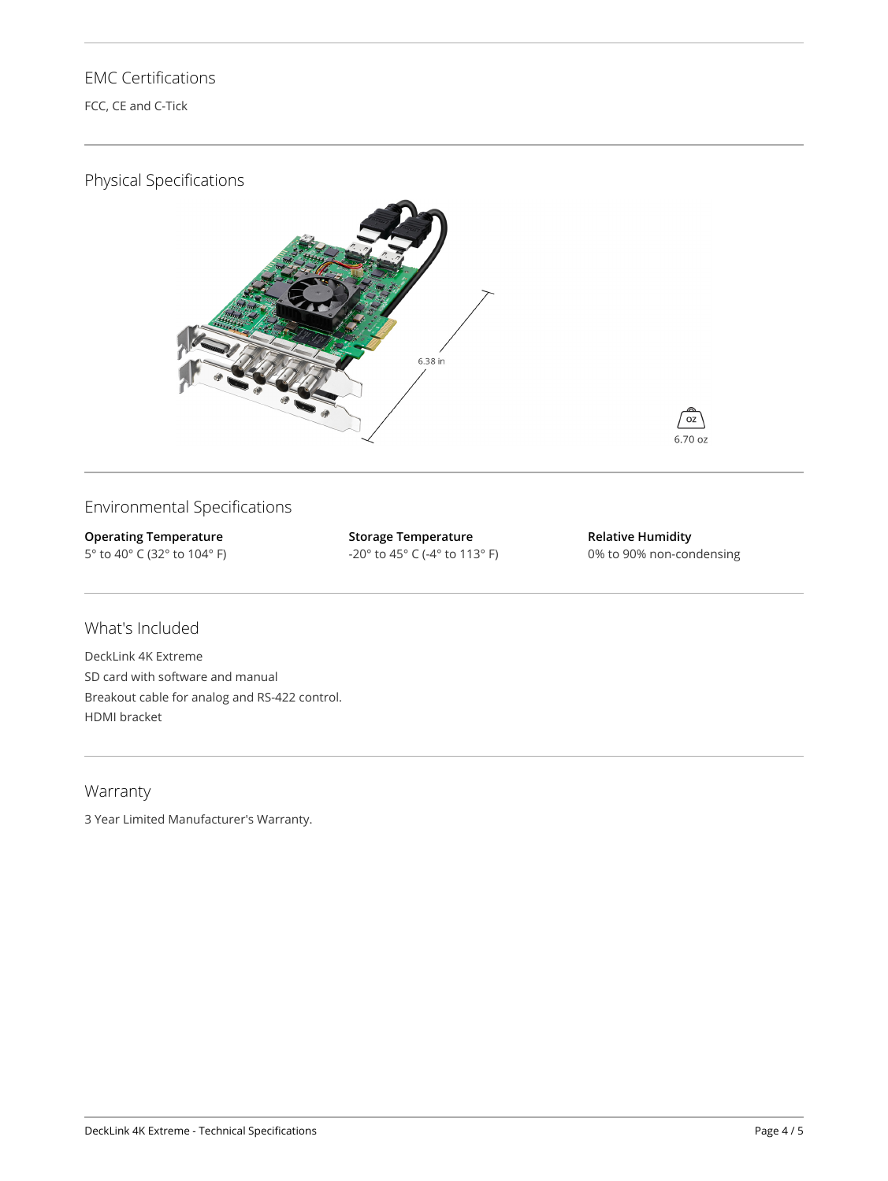# EMC Certifications

FCC, CE and C-Tick

# Physical Specifications





**Operating Temperature** 5° to 40° C (32° to 104° F) **Storage Temperature** -20° to 45° C (-4° to 113° F) **Relative Humidity** 0% to 90% non-condensing

oz 6.70 oz

# What's Included

DeckLink 4K Extreme SD card with software and manual Breakout cable for analog and RS-422 control. HDMI bracket

# Warranty

3 Year Limited Manufacturer's Warranty.